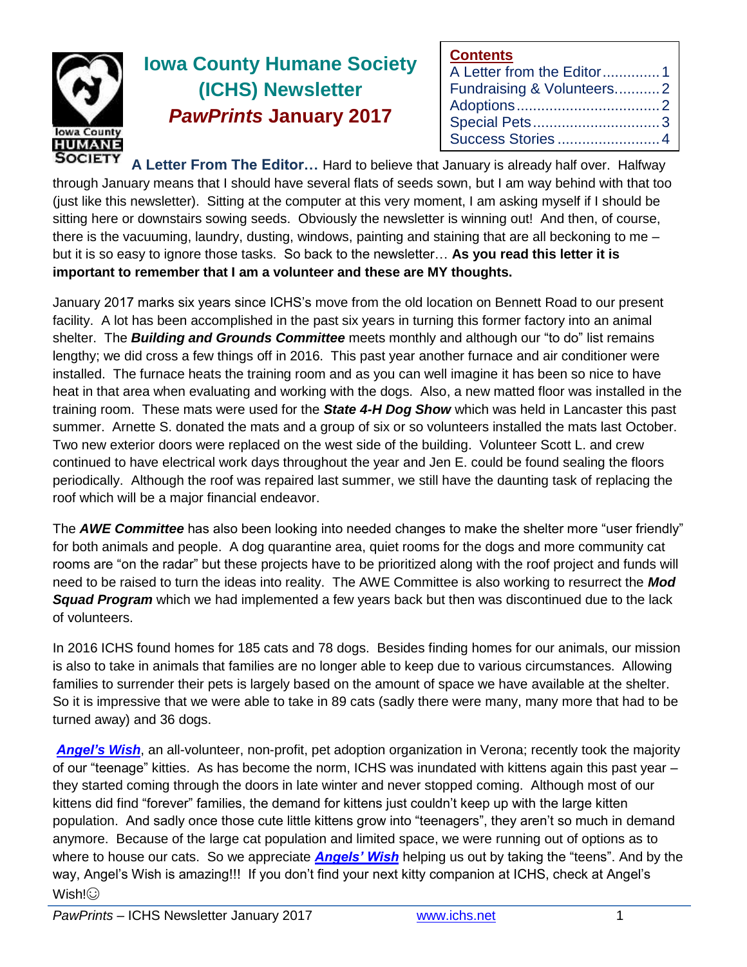

# **Iowa County Humane Society (ICHS) Newsletter** *PawPrints* **January 2017**

| <b>Contents</b>           |  |
|---------------------------|--|
| A Letter from the Editor1 |  |
| Fundraising & Volunteers2 |  |
|                           |  |
|                           |  |
| Success Stories 4         |  |

**A Letter From The Editor…** Hard to believe that January is already half over. Halfway through January means that I should have several flats of seeds sown, but I am way behind with that too (just like this newsletter). Sitting at the computer at this very moment, I am asking myself if I should be sitting here or downstairs sowing seeds. Obviously the newsletter is winning out! And then, of course, there is the vacuuming, laundry, dusting, windows, painting and staining that are all beckoning to me – but it is so easy to ignore those tasks. So back to the newsletter… **As you read this letter it is important to remember that I am a volunteer and these are MY thoughts.**

January 2017 marks six years since ICHS's move from the old location on Bennett Road to our present facility. A lot has been accomplished in the past six years in turning this former factory into an animal shelter. The *Building and Grounds Committee* meets monthly and although our "to do" list remains lengthy; we did cross a few things off in 2016. This past year another furnace and air conditioner were installed. The furnace heats the training room and as you can well imagine it has been so nice to have heat in that area when evaluating and working with the dogs. Also, a new matted floor was installed in the training room. These mats were used for the *State 4-H Dog Show* which was held in Lancaster this past summer. Arnette S. donated the mats and a group of six or so volunteers installed the mats last October. Two new exterior doors were replaced on the west side of the building. Volunteer Scott L. and crew continued to have electrical work days throughout the year and Jen E. could be found sealing the floors periodically. Although the roof was repaired last summer, we still have the daunting task of replacing the roof which will be a major financial endeavor.

The *AWE Committee* has also been looking into needed changes to make the shelter more "user friendly" for both animals and people. A dog quarantine area, quiet rooms for the dogs and more community cat rooms are "on the radar" but these projects have to be prioritized along with the roof project and funds will need to be raised to turn the ideas into reality. The AWE Committee is also working to resurrect the *Mod Squad Program* which we had implemented a few years back but then was discontinued due to the lack of volunteers.

In 2016 ICHS found homes for 185 cats and 78 dogs. Besides finding homes for our animals, our mission is also to take in animals that families are no longer able to keep due to various circumstances. Allowing families to surrender their pets is largely based on the amount of space we have available at the shelter. So it is impressive that we were able to take in 89 cats (sadly there were many, many more that had to be turned away) and 36 dogs.

*[Angel's Wish](angelswish.org/)*, an all-volunteer, non-profit, pet adoption organization in Verona; recently took the majority of our "teenage" kitties. As has become the norm, ICHS was inundated with kittens again this past year – they started coming through the doors in late winter and never stopped coming. Although most of our kittens did find "forever" families, the demand for kittens just couldn't keep up with the large kitten population. And sadly once those cute little kittens grow into "teenagers", they aren't so much in demand anymore. Because of the large cat population and limited space, we were running out of options as to where to house our cats. So we appreciate *[Angels' Wish](angelswish.org/)* helping us out by taking the "teens". And by the way, Angel's Wish is amazing!!! If you don't find your next kitty companion at ICHS, check at Angel's Wish<sup>I</sup>⊙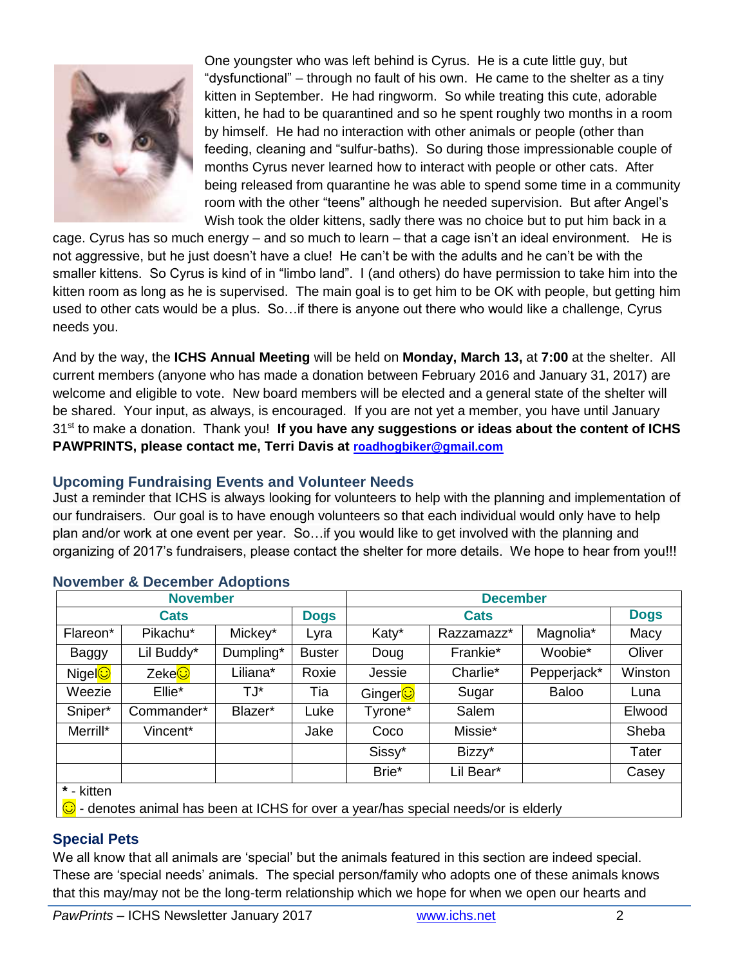

One youngster who was left behind is Cyrus. He is a cute little guy, but "dysfunctional" – through no fault of his own. He came to the shelter as a tiny kitten in September. He had ringworm. So while treating this cute, adorable kitten, he had to be quarantined and so he spent roughly two months in a room by himself. He had no interaction with other animals or people (other than feeding, cleaning and "sulfur-baths). So during those impressionable couple of months Cyrus never learned how to interact with people or other cats. After being released from quarantine he was able to spend some time in a community room with the other "teens" although he needed supervision. But after Angel's Wish took the older kittens, sadly there was no choice but to put him back in a

cage. Cyrus has so much energy – and so much to learn – that a cage isn't an ideal environment. He is not aggressive, but he just doesn't have a clue! He can't be with the adults and he can't be with the smaller kittens. So Cyrus is kind of in "limbo land". I (and others) do have permission to take him into the kitten room as long as he is supervised. The main goal is to get him to be OK with people, but getting him used to other cats would be a plus. So…if there is anyone out there who would like a challenge, Cyrus needs you.

And by the way, the **ICHS Annual Meeting** will be held on **Monday, March 13,** at **7:00** at the shelter. All current members (anyone who has made a donation between February 2016 and January 31, 2017) are welcome and eligible to vote. New board members will be elected and a general state of the shelter will be shared. Your input, as always, is encouraged. If you are not yet a member, you have until January 31st to make a donation. Thank you! **If you have any suggestions or ideas about the content of ICHS PAWPRINTS, please contact me, Terri Davis at [roadhogbiker@gmail.com](mailto:roadhogbiker@gmail.com)**

# **Upcoming Fundraising Events and Volunteer Needs**

Just a reminder that ICHS is always looking for volunteers to help with the planning and implementation of our fundraisers. Our goal is to have enough volunteers so that each individual would only have to help plan and/or work at one event per year. So…if you would like to get involved with the planning and organizing of 2017's fundraisers, please contact the shelter for more details. We hope to hear from you!!!

| <b>November</b>                                                                           |                     |           |               | <b>December</b> |            |              |             |  |
|-------------------------------------------------------------------------------------------|---------------------|-----------|---------------|-----------------|------------|--------------|-------------|--|
| <b>Cats</b>                                                                               |                     |           | <b>Dogs</b>   | <b>Cats</b>     |            |              | <b>Dogs</b> |  |
| Flareon*                                                                                  | Pikachu*            | Mickey*   | Lyra          | Katy*           | Razzamazz* | Magnolia*    | Macy        |  |
| Baggy                                                                                     | Lil Buddy*          | Dumpling* | <b>Buster</b> | Doug            | Frankie*   | Woobie*      | Oliver      |  |
| Nigel <b>⊙</b>                                                                            | Zeke <mark>⊙</mark> | Liliana*  | Roxie         | Jessie          | Charlie*   | Pepperjack*  | Winston     |  |
| Weezie                                                                                    | Ellie*              | T.J*      | Tia           | Ginger          | Sugar      | <b>Baloo</b> | Luna        |  |
| Sniper*                                                                                   | Commander*          | Blazer*   | Luke          | Tyrone*         | Salem      |              | Elwood      |  |
| Merrill*                                                                                  | Vincent*            |           | Jake          | Coco            | Missie*    |              | Sheba       |  |
|                                                                                           |                     |           |               | Sissy*          | Bizzy*     |              | Tater       |  |
|                                                                                           |                     |           |               | Brie*           | Lil Bear*  |              | Casey       |  |
| * - kitten                                                                                |                     |           |               |                 |            |              |             |  |
| $\odot$ - denotes animal has been at ICHS for over a year/has special needs/or is elderly |                     |           |               |                 |            |              |             |  |

# **November & December Adoptions**

## **Special Pets**

We all know that all animals are 'special' but the animals featured in this section are indeed special. These are 'special needs' animals. The special person/family who adopts one of these animals knows that this may/may not be the long-term relationship which we hope for when we open our hearts and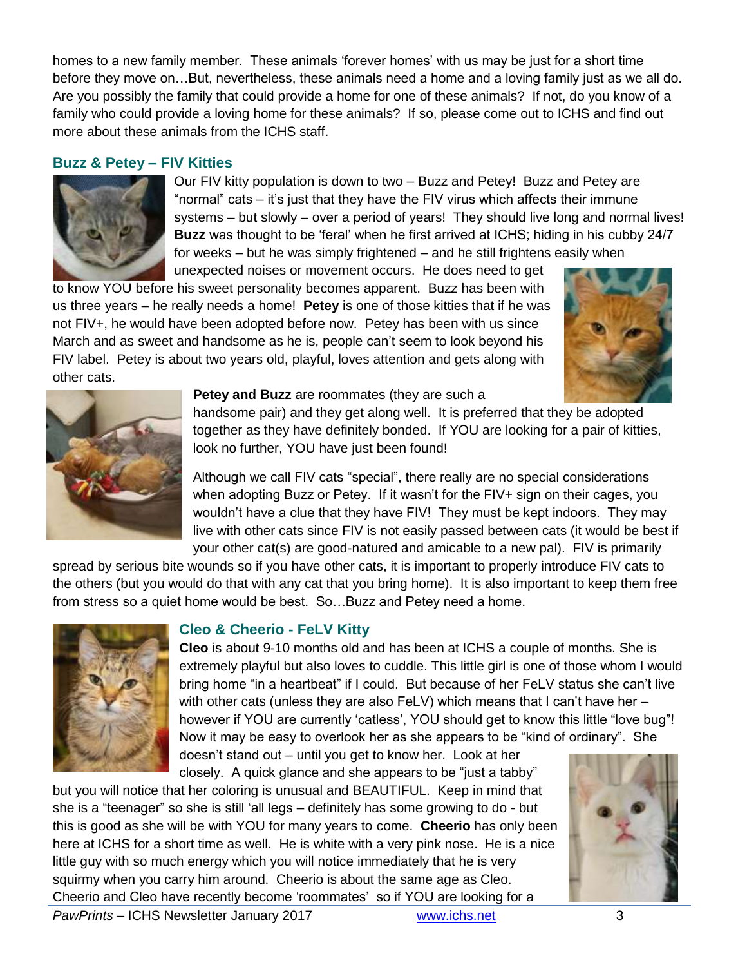homes to a new family member. These animals 'forever homes' with us may be just for a short time before they move on…But, nevertheless, these animals need a home and a loving family just as we all do. Are you possibly the family that could provide a home for one of these animals? If not, do you know of a family who could provide a loving home for these animals? If so, please come out to ICHS and find out more about these animals from the ICHS staff.

#### **Buzz & Petey – FIV Kitties**



Our FIV kitty population is down to two – Buzz and Petey! Buzz and Petey are "normal" cats – it's just that they have the FIV virus which affects their immune systems – but slowly – over a period of years! They should live long and normal lives! **Buzz** was thought to be 'feral' when he first arrived at ICHS; hiding in his cubby 24/7 for weeks – but he was simply frightened – and he still frightens easily when unexpected noises or movement occurs. He does need to get

to know YOU before his sweet personality becomes apparent. Buzz has been with us three years – he really needs a home! **Petey** is one of those kitties that if he was not FIV+, he would have been adopted before now. Petey has been with us since March and as sweet and handsome as he is, people can't seem to look beyond his FIV label. Petey is about two years old, playful, loves attention and gets along with other cats.





#### **Petey and Buzz** are roommates (they are such a

handsome pair) and they get along well. It is preferred that they be adopted together as they have definitely bonded. If YOU are looking for a pair of kitties, look no further, YOU have just been found!

Although we call FIV cats "special", there really are no special considerations when adopting Buzz or Petey. If it wasn't for the FIV+ sign on their cages, you wouldn't have a clue that they have FIV! They must be kept indoors. They may live with other cats since FIV is not easily passed between cats (it would be best if your other cat(s) are good-natured and amicable to a new pal). FIV is primarily

spread by serious bite wounds so if you have other cats, it is important to properly introduce FIV cats to the others (but you would do that with any cat that you bring home). It is also important to keep them free from stress so a quiet home would be best. So…Buzz and Petey need a home.



## **Cleo & Cheerio - FeLV Kitty**

**Cleo** is about 9-10 months old and has been at ICHS a couple of months. She is extremely playful but also loves to cuddle. This little girl is one of those whom I would bring home "in a heartbeat" if I could. But because of her FeLV status she can't live with other cats (unless they are also FeLV) which means that I can't have her – however if YOU are currently 'catless', YOU should get to know this little "love bug"! Now it may be easy to overlook her as she appears to be "kind of ordinary". She

doesn't stand out – until you get to know her. Look at her closely. A quick glance and she appears to be "just a tabby"

*PawPrints* – ICHS Newsletter January 2017 [www.ichs.net](http://www.ichs.net/) 3 but you will notice that her coloring is unusual and BEAUTIFUL. Keep in mind that she is a "teenager" so she is still 'all legs – definitely has some growing to do - but this is good as she will be with YOU for many years to come. **Cheerio** has only been here at ICHS for a short time as well. He is white with a very pink nose. He is a nice little guy with so much energy which you will notice immediately that he is very squirmy when you carry him around. Cheerio is about the same age as Cleo. Cheerio and Cleo have recently become 'roommates' so if YOU are looking for a

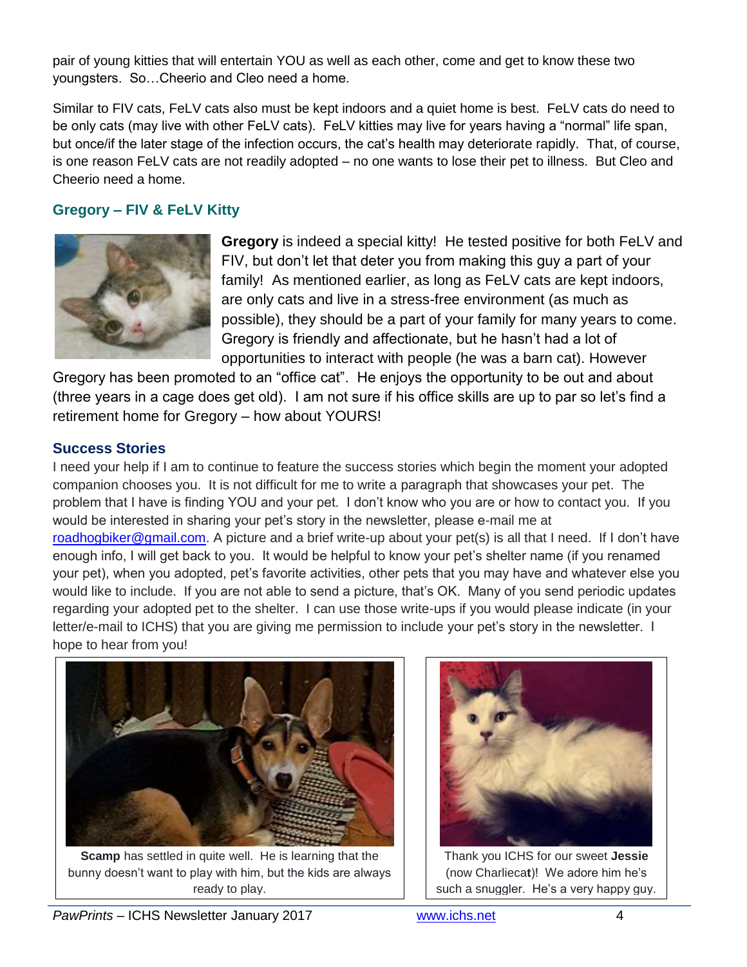pair of young kitties that will entertain YOU as well as each other, come and get to know these two youngsters. So…Cheerio and Cleo need a home.

Similar to FIV cats, FeLV cats also must be kept indoors and a quiet home is best. FeLV cats do need to be only cats (may live with other FeLV cats). FeLV kitties may live for years having a "normal" life span, but once/if the later stage of the infection occurs, the cat's health may deteriorate rapidly. That, of course, is one reason FeLV cats are not readily adopted – no one wants to lose their pet to illness. But Cleo and Cheerio need a home.

# **Gregory – FIV & FeLV Kitty**



**Gregory** is indeed a special kitty! He tested positive for both FeLV and FIV, but don't let that deter you from making this guy a part of your family! As mentioned earlier, as long as FeLV cats are kept indoors, are only cats and live in a stress-free environment (as much as possible), they should be a part of your family for many years to come. Gregory is friendly and affectionate, but he hasn't had a lot of opportunities to interact with people (he was a barn cat). However

Gregory has been promoted to an "office cat". He enjoys the opportunity to be out and about (three years in a cage does get old). I am not sure if his office skills are up to par so let's find a retirement home for Gregory – how about YOURS!

## **Success Stories**

I need your help if I am to continue to feature the success stories which begin the moment your adopted companion chooses you. It is not difficult for me to write a paragraph that showcases your pet. The problem that I have is finding YOU and your pet. I don't know who you are or how to contact you. If you would be interested in sharing your pet's story in the newsletter, please e-mail me at [roadhogbiker@gmail.com.](mailto:roadhogbiker@gmail.com) A picture and a brief write-up about your pet(s) is all that I need. If I don't have enough info, I will get back to you. It would be helpful to know your pet's shelter name (if you renamed your pet), when you adopted, pet's favorite activities, other pets that you may have and whatever else you would like to include. If you are not able to send a picture, that's OK. Many of you send periodic updates regarding your adopted pet to the shelter. I can use those write-ups if you would please indicate (in your letter/e-mail to ICHS) that you are giving me permission to include your pet's story in the newsletter. I hope to hear from you!



**Scamp** has settled in quite well. He is learning that the bunny doesn't want to play with him, but the kids are always ready to play.



Thank you ICHS for our sweet **Jessie** (now Charlieca**t**)! We adore him he's such a snuggler. He's a very happy guy.